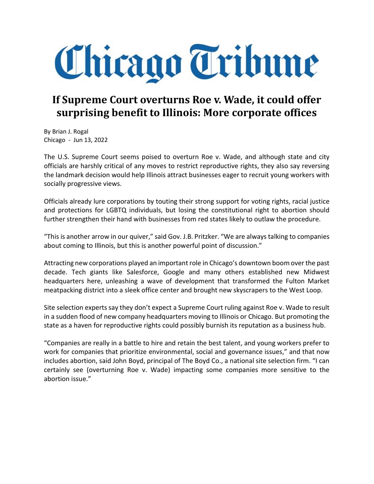## Chicago Tribune

## If Supreme Court overturns Roe v. Wade, it could offer surprising benefit to Illinois: More corporate offices

By Brian J. Rogal Chicago - Jun 13, 2022

The U.S. Supreme Court seems poised to overturn Roe v. Wade, and although state and city officials are harshly critical of any moves to restrict reproductive rights, they also say reversing the landmark decision would help Illinois attract businesses eager to recruit young workers with socially progressive views.

Officials already lure corporations by touting their strong support for voting rights, racial justice and protections for LGBTQ individuals, but losing the constitutional right to abortion should further strengthen their hand with businesses from red states likely to outlaw the procedure.

"This is another arrow in our quiver," said Gov. J.B. Pritzker. "We are always talking to companies about coming to Illinois, but this is another powerful point of discussion."

Attracting new corporations played an important role in Chicago's downtown boom over the past decade. Tech giants like Salesforce, Google and many others established new Midwest headquarters here, unleashing a wave of development that transformed the Fulton Market meatpacking district into a sleek office center and brought new skyscrapers to the West Loop.

Site selection experts say they don't expect a Supreme Court ruling against Roe v. Wade to result in a sudden flood of new company headquarters moving to Illinois or Chicago. But promoting the state as a haven for reproductive rights could possibly burnish its reputation as a business hub.

"Companies are really in a battle to hire and retain the best talent, and young workers prefer to work for companies that prioritize environmental, social and governance issues," and that now includes abortion, said John Boyd, principal of The Boyd Co., a national site selection firm. "I can certainly see (overturning Roe v. Wade) impacting some companies more sensitive to the abortion issue."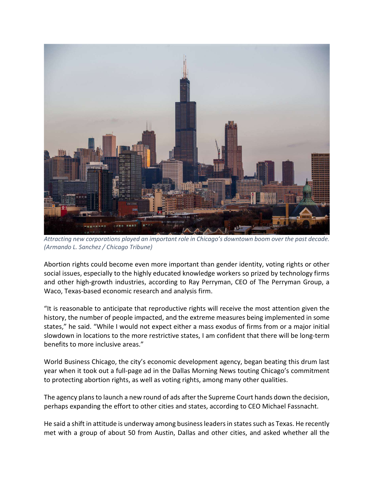

Attracting new corporations played an important role in Chicago's downtown boom over the past decade. (Armando L. Sanchez / Chicago Tribune)

Abortion rights could become even more important than gender identity, voting rights or other social issues, especially to the highly educated knowledge workers so prized by technology firms and other high-growth industries, according to Ray Perryman, CEO of The Perryman Group, a Waco, Texas-based economic research and analysis firm.

"It is reasonable to anticipate that reproductive rights will receive the most attention given the history, the number of people impacted, and the extreme measures being implemented in some states," he said. "While I would not expect either a mass exodus of firms from or a major initial slowdown in locations to the more restrictive states, I am confident that there will be long-term benefits to more inclusive areas."

World Business Chicago, the city's economic development agency, began beating this drum last year when it took out a full-page ad in the Dallas Morning News touting Chicago's commitment to protecting abortion rights, as well as voting rights, among many other qualities.

The agency plans to launch a new round of ads after the Supreme Court hands down the decision, perhaps expanding the effort to other cities and states, according to CEO Michael Fassnacht.

He said a shift in attitude is underway among business leaders in states such as Texas. He recently met with a group of about 50 from Austin, Dallas and other cities, and asked whether all the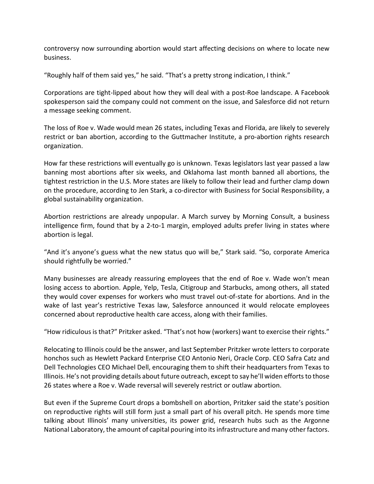controversy now surrounding abortion would start affecting decisions on where to locate new business.

"Roughly half of them said yes," he said. "That's a pretty strong indication, I think."

Corporations are tight-lipped about how they will deal with a post-Roe landscape. A Facebook spokesperson said the company could not comment on the issue, and Salesforce did not return a message seeking comment.

The loss of Roe v. Wade would mean 26 states, including Texas and Florida, are likely to severely restrict or ban abortion, according to the Guttmacher Institute, a pro-abortion rights research organization.

How far these restrictions will eventually go is unknown. Texas legislators last year passed a law banning most abortions after six weeks, and Oklahoma last month banned all abortions, the tightest restriction in the U.S. More states are likely to follow their lead and further clamp down on the procedure, according to Jen Stark, a co-director with Business for Social Responsibility, a global sustainability organization.

Abortion restrictions are already unpopular. A March survey by Morning Consult, a business intelligence firm, found that by a 2-to-1 margin, employed adults prefer living in states where abortion is legal.

"And it's anyone's guess what the new status quo will be," Stark said. "So, corporate America should rightfully be worried."

Many businesses are already reassuring employees that the end of Roe v. Wade won't mean losing access to abortion. Apple, Yelp, Tesla, Citigroup and Starbucks, among others, all stated they would cover expenses for workers who must travel out-of-state for abortions. And in the wake of last year's restrictive Texas law, Salesforce announced it would relocate employees concerned about reproductive health care access, along with their families.

"How ridiculous is that?" Pritzker asked. "That's not how (workers) want to exercise their rights."

Relocating to Illinois could be the answer, and last September Pritzker wrote letters to corporate honchos such as Hewlett Packard Enterprise CEO Antonio Neri, Oracle Corp. CEO Safra Catz and Dell Technologies CEO Michael Dell, encouraging them to shift their headquarters from Texas to Illinois. He's not providing details about future outreach, except to say he'll widen efforts to those 26 states where a Roe v. Wade reversal will severely restrict or outlaw abortion.

But even if the Supreme Court drops a bombshell on abortion, Pritzker said the state's position on reproductive rights will still form just a small part of his overall pitch. He spends more time talking about Illinois' many universities, its power grid, research hubs such as the Argonne National Laboratory, the amount of capital pouring into its infrastructure and many other factors.